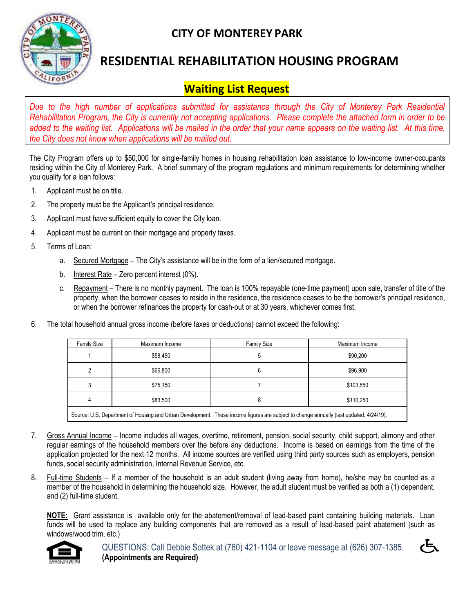

## **CITY OF MONTEREY PARK**

# **RESIDENTIAL REHABILITATION HOUSING PROGRAM**

## **Waiting List Request**

*Due to the high number of applications submitted for assistance through the City of Monterey Park Residential Rehabilitation Program, the City is currently not accepting applications. Please complete the attached form in order to be added to the waiting list. Applications will be mailed in the order that your name appears on the waiting list. At this time, the City does not know when applications will be mailed out.* 

The City Program offers up to \$50,000 for single-family homes in housing rehabilitation loan assistance to low-income owner-occupants residing within the City of Monterey Park. A brief summary of the program regulations and minimum requirements for determining whether you qualify for a loan follows:

- 1. Applicant must be on title.
- 2. The property must be the Applicant's principal residence.
- 3. Applicant must have sufficient equity to cover the City loan.
- 4. Applicant must be current on their mortgage and property taxes.
- 5. Terms of Loan:
	- a. Secured Mortgage The City's assistance will be in the form of a lien/secured mortgage.
	- b. Interest Rate Zero percent interest (0%).
	- c. Repayment There is no monthly payment. The loan is 100% repayable (one-time payment) upon sale, transfer of title of the property, when the borrower ceases to reside in the residence, the residence ceases to be the borrower's principal residence, or when the borrower refinances the property for cash-out or at 30 years, whichever comes first.
- 6. The total household annual gross income (before taxes or deductions) cannot exceed the following:

| <b>Family Size</b>                                                                                                                     | Maximum Income | <b>Family Size</b> | Maximum Income |  |
|----------------------------------------------------------------------------------------------------------------------------------------|----------------|--------------------|----------------|--|
|                                                                                                                                        | \$58.450       | ხ                  | \$90,200       |  |
| 2                                                                                                                                      | \$66,800       | 6                  | \$96.900       |  |
| 3                                                                                                                                      | \$75.150       |                    | \$103,550      |  |
| 4                                                                                                                                      | \$83.500       | 8                  | \$110,250      |  |
| Source: U.S. Department of Housing and Urban Development. These income figures are subject to change annually (last updated: 4/24/19). |                |                    |                |  |

- 7. Gross Annual Income Income includes all wages, overtime, retirement, pension, social security, child support, alimony and other regular earnings of the household members over the before any deductions. Income is based on earnings from the time of the application projected for the next 12 months. All income sources are verified using third party sources such as employers, pension funds, social security administration, Internal Revenue Service, etc.
- 8. Full-time Students If a member of the household is an adult student (living away from home), he/she may be counted as a member of the household in determining the household size. However, the adult student must be verified as both a (1) dependent, and (2) full-time student.

**NOTE:** Grant assistance is available only for the abatement/removal of lead-based paint containing building materials. Loan funds will be used to replace any building components that are removed as a result of lead-based paint abatement (such as windows/wood trim, etc.)